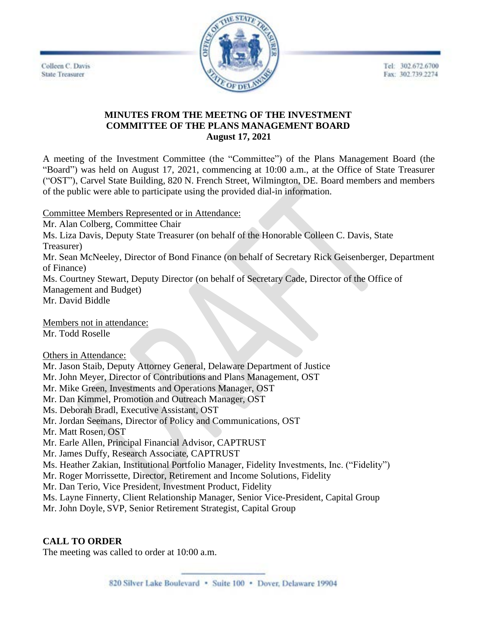Tel: 302.672.6700 Fax: 302.739.2274





## **MINUTES FROM THE MEETNG OF THE INVESTMENT COMMITTEE OF THE PLANS MANAGEMENT BOARD August 17, 2021**

A meeting of the Investment Committee (the "Committee") of the Plans Management Board (the "Board") was held on August 17, 2021, commencing at 10:00 a.m., at the Office of State Treasurer ("OST"), Carvel State Building, 820 N. French Street, Wilmington, DE. Board members and members of the public were able to participate using the provided dial-in information.

Committee Members Represented or in Attendance:

Mr. Alan Colberg, Committee Chair

Ms. Liza Davis, Deputy State Treasurer (on behalf of the Honorable Colleen C. Davis, State Treasurer)

Mr. Sean McNeeley, Director of Bond Finance (on behalf of Secretary Rick Geisenberger, Department of Finance)

Ms. Courtney Stewart, Deputy Director (on behalf of Secretary Cade, Director of the Office of Management and Budget)

Mr. David Biddle

Members not in attendance: Mr. Todd Roselle

Others in Attendance:

Mr. Jason Staib, Deputy Attorney General, Delaware Department of Justice

Mr. John Meyer, Director of Contributions and Plans Management, OST

Mr. Mike Green, Investments and Operations Manager, OST

Mr. Dan Kimmel, Promotion and Outreach Manager, OST

Ms. Deborah Bradl, Executive Assistant, OST

Mr. Jordan Seemans, Director of Policy and Communications, OST

Mr. Matt Rosen, OST

Mr. Earle Allen, Principal Financial Advisor, CAPTRUST

Mr. James Duffy, Research Associate, CAPTRUST

Ms. Heather Zakian, Institutional Portfolio Manager, Fidelity Investments, Inc. ("Fidelity")

Mr. Roger Morrissette, Director, Retirement and Income Solutions, Fidelity

Mr. Dan Terio, Vice President, Investment Product, Fidelity

Ms. Layne Finnerty, Client Relationship Manager, Senior Vice-President, Capital Group

Mr. John Doyle, SVP, Senior Retirement Strategist, Capital Group

### **CALL TO ORDER**

The meeting was called to order at 10:00 a.m.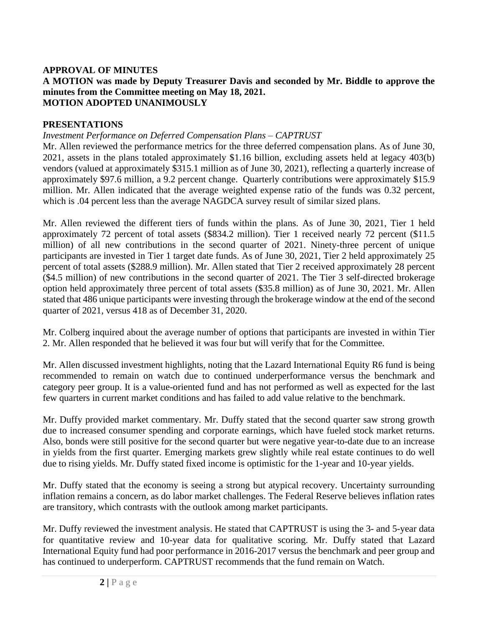#### **APPROVAL OF MINUTES A MOTION was made by Deputy Treasurer Davis and seconded by Mr. Biddle to approve the minutes from the Committee meeting on May 18, 2021. MOTION ADOPTED UNANIMOUSLY**

### **PRESENTATIONS**

#### *Investment Performance on Deferred Compensation Plans – CAPTRUST*

Mr. Allen reviewed the performance metrics for the three deferred compensation plans. As of June 30, 2021, assets in the plans totaled approximately \$1.16 billion, excluding assets held at legacy 403(b) vendors (valued at approximately \$315.1 million as of June 30, 2021), reflecting a quarterly increase of approximately \$97.6 million, a 9.2 percent change. Quarterly contributions were approximately \$15.9 million. Mr. Allen indicated that the average weighted expense ratio of the funds was 0.32 percent, which is .04 percent less than the average NAGDCA survey result of similar sized plans.

Mr. Allen reviewed the different tiers of funds within the plans. As of June 30, 2021, Tier 1 held approximately 72 percent of total assets (\$834.2 million). Tier 1 received nearly 72 percent (\$11.5 million) of all new contributions in the second quarter of 2021. Ninety-three percent of unique participants are invested in Tier 1 target date funds. As of June 30, 2021, Tier 2 held approximately 25 percent of total assets (\$288.9 million). Mr. Allen stated that Tier 2 received approximately 28 percent (\$4.5 million) of new contributions in the second quarter of 2021. The Tier 3 self-directed brokerage option held approximately three percent of total assets (\$35.8 million) as of June 30, 2021. Mr. Allen stated that 486 unique participants were investing through the brokerage window at the end of the second quarter of 2021, versus 418 as of December 31, 2020.

Mr. Colberg inquired about the average number of options that participants are invested in within Tier 2. Mr. Allen responded that he believed it was four but will verify that for the Committee.

Mr. Allen discussed investment highlights, noting that the Lazard International Equity R6 fund is being recommended to remain on watch due to continued underperformance versus the benchmark and category peer group. It is a value-oriented fund and has not performed as well as expected for the last few quarters in current market conditions and has failed to add value relative to the benchmark.

Mr. Duffy provided market commentary. Mr. Duffy stated that the second quarter saw strong growth due to increased consumer spending and corporate earnings, which have fueled stock market returns. Also, bonds were still positive for the second quarter but were negative year-to-date due to an increase in yields from the first quarter. Emerging markets grew slightly while real estate continues to do well due to rising yields. Mr. Duffy stated fixed income is optimistic for the 1-year and 10-year yields.

Mr. Duffy stated that the economy is seeing a strong but atypical recovery. Uncertainty surrounding inflation remains a concern, as do labor market challenges. The Federal Reserve believes inflation rates are transitory, which contrasts with the outlook among market participants.

Mr. Duffy reviewed the investment analysis. He stated that CAPTRUST is using the 3- and 5-year data for quantitative review and 10-year data for qualitative scoring. Mr. Duffy stated that Lazard International Equity fund had poor performance in 2016-2017 versus the benchmark and peer group and has continued to underperform. CAPTRUST recommends that the fund remain on Watch.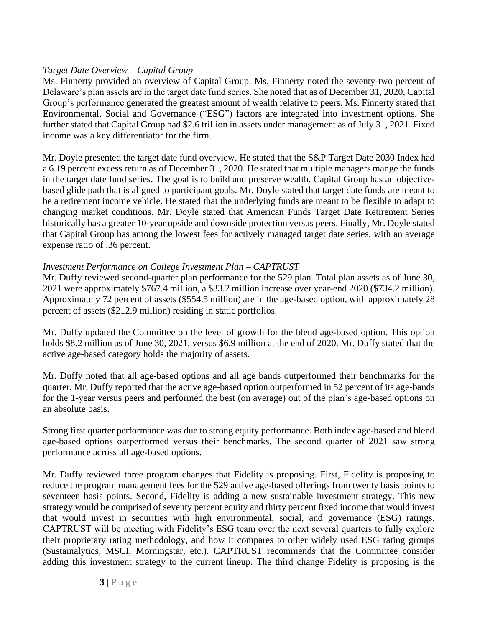# *Target Date Overview – Capital Group*

Ms. Finnerty provided an overview of Capital Group. Ms. Finnerty noted the seventy-two percent of Delaware's plan assets are in the target date fund series. She noted that as of December 31, 2020, Capital Group's performance generated the greatest amount of wealth relative to peers. Ms. Finnerty stated that Environmental, Social and Governance ("ESG") factors are integrated into investment options. She further stated that Capital Group had \$2.6 trillion in assets under management as of July 31, 2021. Fixed income was a key differentiator for the firm.

Mr. Doyle presented the target date fund overview. He stated that the S&P Target Date 2030 Index had a 6.19 percent excess return as of December 31, 2020. He stated that multiple managers mange the funds in the target date fund series. The goal is to build and preserve wealth. Capital Group has an objectivebased glide path that is aligned to participant goals. Mr. Doyle stated that target date funds are meant to be a retirement income vehicle. He stated that the underlying funds are meant to be flexible to adapt to changing market conditions. Mr. Doyle stated that American Funds Target Date Retirement Series historically has a greater 10-year upside and downside protection versus peers. Finally, Mr. Doyle stated that Capital Group has among the lowest fees for actively managed target date series, with an average expense ratio of .36 percent.

# *Investment Performance on College Investment Plan – CAPTRUST*

Mr. Duffy reviewed second-quarter plan performance for the 529 plan. Total plan assets as of June 30, 2021 were approximately \$767.4 million, a \$33.2 million increase over year-end 2020 (\$734.2 million). Approximately 72 percent of assets (\$554.5 million) are in the age-based option, with approximately 28 percent of assets (\$212.9 million) residing in static portfolios.

Mr. Duffy updated the Committee on the level of growth for the blend age-based option. This option holds \$8.2 million as of June 30, 2021, versus \$6.9 million at the end of 2020. Mr. Duffy stated that the active age-based category holds the majority of assets.

Mr. Duffy noted that all age-based options and all age bands outperformed their benchmarks for the quarter. Mr. Duffy reported that the active age-based option outperformed in 52 percent of its age-bands for the 1-year versus peers and performed the best (on average) out of the plan's age-based options on an absolute basis.

Strong first quarter performance was due to strong equity performance. Both index age-based and blend age-based options outperformed versus their benchmarks. The second quarter of 2021 saw strong performance across all age-based options.

Mr. Duffy reviewed three program changes that Fidelity is proposing. First, Fidelity is proposing to reduce the program management fees for the 529 active age-based offerings from twenty basis points to seventeen basis points. Second, Fidelity is adding a new sustainable investment strategy. This new strategy would be comprised of seventy percent equity and thirty percent fixed income that would invest that would invest in securities with high environmental, social, and governance (ESG) ratings. CAPTRUST will be meeting with Fidelity's ESG team over the next several quarters to fully explore their proprietary rating methodology, and how it compares to other widely used ESG rating groups (Sustainalytics, MSCI, Morningstar, etc.). CAPTRUST recommends that the Committee consider adding this investment strategy to the current lineup. The third change Fidelity is proposing is the